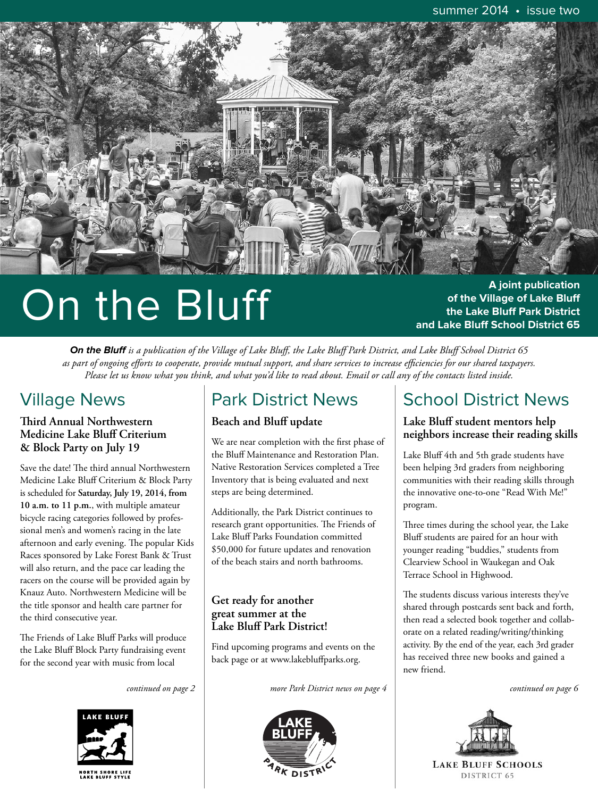

# On the Bluff

**A joint publication of the Village of Lake Bluff the Lake Bluff Park District and Lake Bluff School District 65**

**On the Bluff** *is a publication of the Village of Lake Bluff, the Lake Bluff Park District, and Lake Bluff School District 65 as part of ongoing efforts to cooperate, provide mutual support, and share services to increase efficiencies for our shared taxpayers. Please let us know what you think, and what you'd like to read about. Email or call any of the contacts listed inside.*

## Village News

#### *Third Annual Northwestern* **Medicine Lake Bluff Criterium & Block Party on July 19**

Save the date! The third annual Northwestern Medicine Lake Bluff Criterium & Block Party is scheduled for **Saturday, July 19, 2014, from 10 a.m. to 11 p.m.**, with multiple amateur bicycle racing categories followed by professional men's and women's racing in the late afternoon and early evening. The popular Kids Races sponsored by Lake Forest Bank & Trust will also return, and the pace car leading the racers on the course will be provided again by Knauz Auto. Northwestern Medicine will be the title sponsor and health care partner for the third consecutive year.

The Friends of Lake Bluff Parks will produce the Lake Bluff Block Party fundraising event for the second year with music from local



## Park District News

#### **Beach and Bluff update**

We are near completion with the first phase of the Bluff Maintenance and Restoration Plan. Native Restoration Services completed a Tree Inventory that is being evaluated and next steps are being determined.

Additionally, the Park District continues to research grant opportunities. The Friends of Lake Bluff Parks Foundation committed \$50,000 for future updates and renovation of the beach stairs and north bathrooms.

#### **Get ready for another great summer at the Lake Bluff Park District!**

Find upcoming programs and events on the back page or at www.lakebluffparks.org.

*continued on page 2 more Park District news on page 4 continued on page 6*



## School District News

#### **Lake Bluff student mentors help neighbors increase their reading skills**

Lake Bluff 4th and 5th grade students have been helping 3rd graders from neighboring communities with their reading skills through the innovative one-to-one "Read With Me!" program.

Three times during the school year, the Lake Bluff students are paired for an hour with younger reading "buddies," students from Clearview School in Waukegan and Oak Terrace School in Highwood.

The students discuss various interests they've shared through postcards sent back and forth, then read a selected book together and collaborate on a related reading/writing/thinking activity. By the end of the year, each 3rd grader has received three new books and gained a new friend.

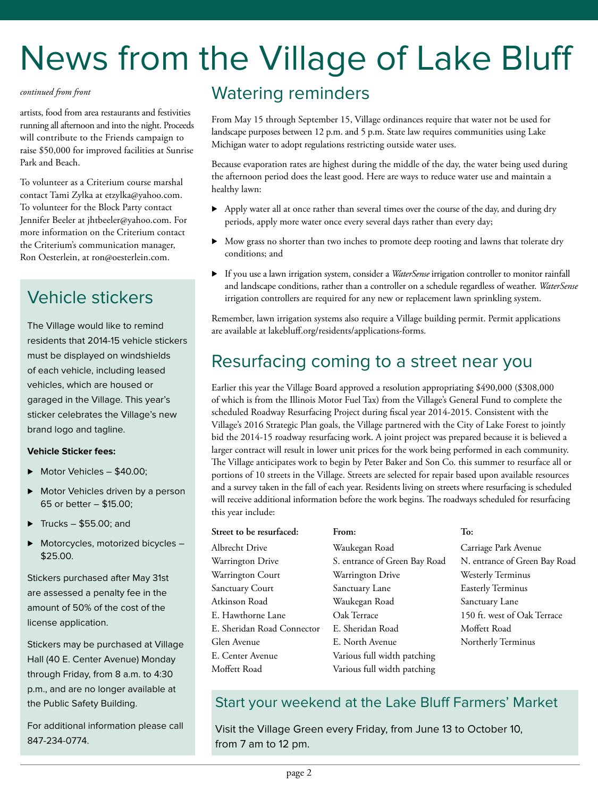## News from the Village of Lake Bluff

artists, food from area restaurants and festivities running all afternoon and into the night. Proceeds will contribute to the Friends campaign to raise \$50,000 for improved facilities at Sunrise Park and Beach.

To volunteer as a Criterium course marshal contact Tami Zylka at etzylka@yahoo.com. To volunteer for the Block Party contact Jennifer Beeler at jhtbeeler@yahoo.com. For more information on the Criterium contact the Criterium's communication manager, Ron Oesterlein, at ron@oesterlein.com.

## Vehicle stickers

The Village would like to remind residents that 2014-15 vehicle stickers must be displayed on windshields of each vehicle, including leased vehicles, which are housed or garaged in the Village. This year's sticker celebrates the Village's new brand logo and tagline.

#### **Vehicle Sticker fees:**

- ▶ Motor Vehicles \$40.00;
- **Motor Vehicles driven by a person** 65 or better – \$15.00;
- $\blacktriangleright$  Trucks \$55.00; and
- ▶ Motorcycles, motorized bicycles -\$25.00.

Stickers purchased after May 31st are assessed a penalty fee in the amount of 50% of the cost of the license application.

Stickers may be purchased at Village Hall (40 E. Center Avenue) Monday through Friday, from 8 a.m. to 4:30 p.m., and are no longer available at the Public Safety Building.

For additional information please call 847-234-0774.

## *continued from front* Watering reminders

From May 15 through September 15, Village ordinances require that water not be used for landscape purposes between 12 p.m. and 5 p.m. State law requires communities using Lake Michigan water to adopt regulations restricting outside water uses.

Because evaporation rates are highest during the middle of the day, the water being used during the afternoon period does the least good. Here are ways to reduce water use and maintain a healthy lawn:

- . Apply water all at once rather than several times over the course of the day, and during dry periods, apply more water once every several days rather than every day;
- . Mow grass no shorter than two inches to promote deep rooting and lawns that tolerate dry conditions; and
- . If you use a lawn irrigation system, consider a *WaterSense* irrigation controller to monitor rainfall and landscape conditions, rather than a controller on a schedule regardless of weather. *WaterSense* irrigation controllers are required for any new or replacement lawn sprinkling system.

Remember, lawn irrigation systems also require a Village building permit. Permit applications are available at lakebluff.org/residents/applications-forms.

### Resurfacing coming to a street near you

Earlier this year the Village Board approved a resolution appropriating \$490,000 (\$308,000 of which is from the Illinois Motor Fuel Tax) from the Village's General Fund to complete the scheduled Roadway Resurfacing Project during fiscal year 2014-2015. Consistent with the Village's 2016 Strategic Plan goals, the Village partnered with the City of Lake Forest to jointly bid the 2014-15 roadway resurfacing work. A joint project was prepared because it is believed a larger contract will result in lower unit prices for the work being performed in each community. The Village anticipates work to begin by Peter Baker and Son Co. this summer to resurface all or portions of 10 streets in the Village. Streets are selected for repair based upon available resources and a survey taken in the fall of each year. Residents living on streets where resurfacing is scheduled will receive additional information before the work begins. The roadways scheduled for resurfacing this year include:

| Street to be resurfaced:   | From:                         | To:                    |
|----------------------------|-------------------------------|------------------------|
| Albrecht Drive             | Waukegan Road                 | Carriage Park A        |
| Warrington Drive           | S. entrance of Green Bay Road | N. entrance of 0       |
| Warrington Court           | Warrington Drive              | Westerly Termi         |
| <b>Sanctuary Court</b>     | Sanctuary Lane                | <b>Easterly Termin</b> |
| Atkinson Road              | Waukegan Road                 | Sanctuary Lane         |
| E. Hawthorne Lane          | Oak Terrace                   | 150 ft. west of        |
| E. Sheridan Road Connector | E. Sheridan Road              | Moffett Road           |
| Glen Avenue                | E. North Avenue               | Northerly Term         |
| E. Center Avenue           | Various full width patching   |                        |
| Moffett Road               | Various full width patching   |                        |

ge Park Avenue rance of Green Bay Road rly Terminus ly Terminus . west of Oak Terrace erly Terminus

#### Start your weekend at the Lake Bluff Farmers' Market

Visit the Village Green every Friday, from June 13 to October 10, from 7 am to 12 pm.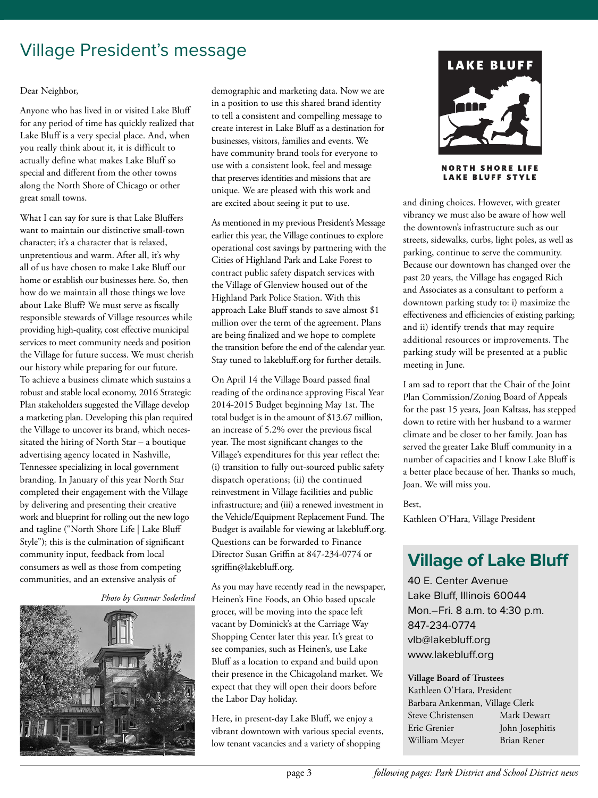## Village President's message

#### Dear Neighbor,

Anyone who has lived in or visited Lake Bluff for any period of time has quickly realized that Lake Bluff is a very special place. And, when you really think about it, it is difficult to actually define what makes Lake Bluff so special and different from the other towns along the North Shore of Chicago or other great small towns.

What I can say for sure is that Lake Bluffers want to maintain our distinctive small-town character; it's a character that is relaxed, unpretentious and warm. After all, it's why all of us have chosen to make Lake Bluff our home or establish our businesses here. So, then how do we maintain all those things we love about Lake Bluff? We must serve as fiscally responsible stewards of Village resources while providing high-quality, cost effective municipal services to meet community needs and position the Village for future success. We must cherish our history while preparing for our future. To achieve a business climate which sustains a robust and stable local economy, 2016 Strategic Plan stakeholders suggested the Village develop a marketing plan. Developing this plan required the Village to uncover its brand, which necessitated the hiring of North Star – a boutique advertising agency located in Nashville, Tennessee specializing in local government branding. In January of this year North Star completed their engagement with the Village by delivering and presenting their creative work and blueprint for rolling out the new logo and tagline ("North Shore Life | Lake Bluff Style"); this is the culmination of significant community input, feedback from local consumers as well as those from competing communities, and an extensive analysis of

*Photo by Gunnar Soderlind*



demographic and marketing data. Now we are in a position to use this shared brand identity to tell a consistent and compelling message to create interest in Lake Bluff as a destination for businesses, visitors, families and events. We have community brand tools for everyone to use with a consistent look, feel and message that preserves identities and missions that are unique. We are pleased with this work and are excited about seeing it put to use.

As mentioned in my previous President's Message earlier this year, the Village continues to explore operational cost savings by partnering with the Cities of Highland Park and Lake Forest to contract public safety dispatch services with the Village of Glenview housed out of the Highland Park Police Station. With this approach Lake Bluff stands to save almost \$1 million over the term of the agreement. Plans are being finalized and we hope to complete the transition before the end of the calendar year. Stay tuned to lakebluff.org for further details.

On April 14 the Village Board passed final reading of the ordinance approving Fiscal Year 2014-2015 Budget beginning May 1st. The total budget is in the amount of \$13.67 million, an increase of 5.2% over the previous fiscal year. The most significant changes to the Village's expenditures for this year reflect the: (i) transition to fully out-sourced public safety dispatch operations; (ii) the continued reinvestment in Village facilities and public infrastructure; and (iii) a renewed investment in the Vehicle/Equipment Replacement Fund. The Budget is available for viewing at lakebluff.org. Questions can be forwarded to Finance Director Susan Griffin at 847-234-0774 or sgriffin@lakebluff.org.

As you may have recently read in the newspaper, Heinen's Fine Foods, an Ohio based upscale grocer, will be moving into the space left vacant by Dominick's at the Carriage Way Shopping Center later this year. It's great to see companies, such as Heinen's, use Lake Bluff as a location to expand and build upon their presence in the Chicagoland market. We expect that they will open their doors before the Labor Day holiday.

Here, in present-day Lake Bluff, we enjoy a vibrant downtown with various special events, low tenant vacancies and a variety of shopping



**NORTH SHORE LIFE LAKE BLUFF STYLE** 

and dining choices. However, with greater vibrancy we must also be aware of how well the downtown's infrastructure such as our streets, sidewalks, curbs, light poles, as well as parking, continue to serve the community. Because our downtown has changed over the past 20 years, the Village has engaged Rich and Associates as a consultant to perform a downtown parking study to: i) maximize the effectiveness and efficiencies of existing parking; and ii) identify trends that may require additional resources or improvements. The parking study will be presented at a public meeting in June.

I am sad to report that the Chair of the Joint Plan Commission/Zoning Board of Appeals for the past 15 years, Joan Kaltsas, has stepped down to retire with her husband to a warmer climate and be closer to her family. Joan has served the greater Lake Bluff community in a number of capacities and I know Lake Bluff is a better place because of her. Thanks so much, Joan. We will miss you.

Best,

Kathleen O'Hara, Village President

## **Village of Lake Bluff**

40 E. Center Avenue Lake Bluff, Illinois 60044 Mon.–Fri. 8 a.m. to 4:30 p.m. 847-234-0774 vlb@lakebluff.org www.lakebluff.org

#### **Village Board of Trustees**

| Kathleen O'Hara, President      |                 |  |
|---------------------------------|-----------------|--|
| Barbara Ankenman, Village Clerk |                 |  |
| Steve Christensen               | Mark Dewart     |  |
| Eric Grenier                    | John Josephitis |  |
| William Meyer                   | Brian Rener     |  |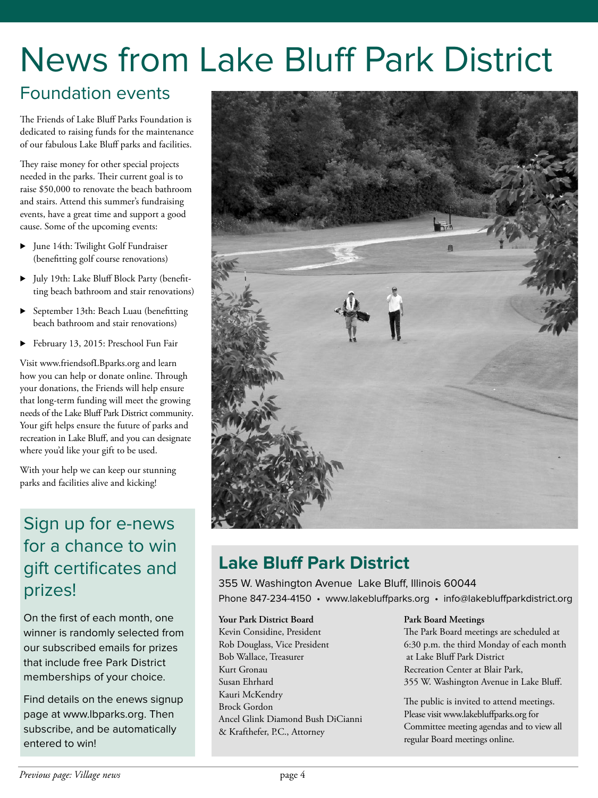## News from Lake Bluff Park District

### Foundation events

The Friends of Lake Bluff Parks Foundation is dedicated to raising funds for the maintenance of our fabulous Lake Bluff parks and facilities.

They raise money for other special projects needed in the parks. Their current goal is to raise \$50,000 to renovate the beach bathroom and stairs. Attend this summer's fundraising events, have a great time and support a good cause. Some of the upcoming events:

- . June 14th: Twilight Golf Fundraiser (benefitting golf course renovations)
- . July 19th: Lake Bluff Block Party (benefitting beach bathroom and stair renovations)
- . September 13th: Beach Luau (benefitting beach bathroom and stair renovations)
- . February 13, 2015: Preschool Fun Fair

Visit www.friendsofLBparks.org and learn how you can help or donate online. Through your donations, the Friends will help ensure that long-term funding will meet the growing needs of the Lake Bluff Park District community. Your gift helps ensure the future of parks and recreation in Lake Bluff, and you can designate where you'd like your gift to be used.

With your help we can keep our stunning parks and facilities alive and kicking!

## Sign up for e-news for a chance to win gift certificates and prizes!

On the first of each month, one winner is randomly selected from our subscribed emails for prizes that include free Park District memberships of your choice.

Find details on the enews signup page at www.lbparks.org. Then subscribe, and be automatically entered to win!



## **Lake Bluff Park District**

355 W. Washington Avenue Lake Bluff, Illinois 60044 Phone 847-234-4150 • www.lakebluffparks.org • info@lakebluffparkdistrict.org

#### **Your Park District Board**

Kevin Considine, President Rob Douglass, Vice President Bob Wallace, Treasurer Kurt Gronau Susan Ehrhard Kauri McKendry Brock Gordon Ancel Glink Diamond Bush DiCianni & Krafthefer, P.C., Attorney

#### **Park Board Meetings**

The Park Board meetings are scheduled at 6:30 p.m. the third Monday of each month at Lake Bluff Park District Recreation Center at Blair Park, 355 W. Washington Avenue in Lake Bluff.

The public is invited to attend meetings. Please visit www.lakebluffparks.org for Committee meeting agendas and to view all regular Board meetings online.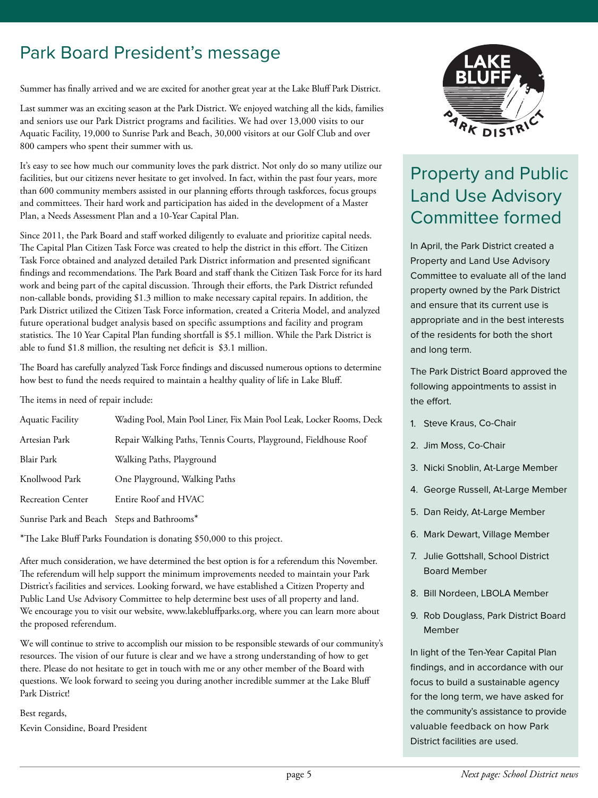## Park Board President's message

Summer has finally arrived and we are excited for another great year at the Lake Bluff Park District.

Last summer was an exciting season at the Park District. We enjoyed watching all the kids, families and seniors use our Park District programs and facilities. We had over 13,000 visits to our Aquatic Facility, 19,000 to Sunrise Park and Beach, 30,000 visitors at our Golf Club and over 800 campers who spent their summer with us.

It's easy to see how much our community loves the park district. Not only do so many utilize our facilities, but our citizens never hesitate to get involved. In fact, within the past four years, more than 600 community members assisted in our planning efforts through taskforces, focus groups and committees. Their hard work and participation has aided in the development of a Master Plan, a Needs Assessment Plan and a 10-Year Capital Plan.

Since 2011, the Park Board and staff worked diligently to evaluate and prioritize capital needs. The Capital Plan Citizen Task Force was created to help the district in this effort. The Citizen Task Force obtained and analyzed detailed Park District information and presented significant findings and recommendations. The Park Board and staff thank the Citizen Task Force for its hard work and being part of the capital discussion. Through their efforts, the Park District refunded non-callable bonds, providing \$1.3 million to make necessary capital repairs. In addition, the Park District utilized the Citizen Task Force information, created a Criteria Model, and analyzed future operational budget analysis based on specific assumptions and facility and program statistics. The 10 Year Capital Plan funding shortfall is \$5.1 million. While the Park District is able to fund \$1.8 million, the resulting net deficit is \$3.1 million.

The Board has carefully analyzed Task Force findings and discussed numerous options to determine how best to fund the needs required to maintain a healthy quality of life in Lake Bluff.

The items in need of repair include:

| <b>Aquatic Facility</b>                     | Wading Pool, Main Pool Liner, Fix Main Pool Leak, Locker Rooms, Deck |
|---------------------------------------------|----------------------------------------------------------------------|
| Artesian Park                               | Repair Walking Paths, Tennis Courts, Playground, Fieldhouse Roof     |
| <b>Blair Park</b>                           | Walking Paths, Playground                                            |
| Knollwood Park                              | One Playground, Walking Paths                                        |
| <b>Recreation Center</b>                    | Entire Roof and HVAC                                                 |
| Sunrise Park and Beach Steps and Bathrooms* |                                                                      |

\*The Lake Bluff Parks Foundation is donating \$50,000 to this project.

After much consideration, we have determined the best option is for a referendum this November. The referendum will help support the minimum improvements needed to maintain your Park District's facilities and services. Looking forward, we have established a Citizen Property and Public Land Use Advisory Committee to help determine best uses of all property and land. We encourage you to visit our website, www.lakebluffparks.org, where you can learn more about the proposed referendum.

We will continue to strive to accomplish our mission to be responsible stewards of our community's resources. The vision of our future is clear and we have a strong understanding of how to get there. Please do not hesitate to get in touch with me or any other member of the Board with questions. We look forward to seeing you during another incredible summer at the Lake Bluff Park District!

Best regards, Kevin Considine, Board President



## Property and Public Land Use Advisory Committee formed

In April, the Park District created a Property and Land Use Advisory Committee to evaluate all of the land property owned by the Park District and ensure that its current use is appropriate and in the best interests of the residents for both the short and long term.

The Park District Board approved the following appointments to assist in the effort.

- 1. Steve Kraus, Co-Chair
- 2. Jim Moss, Co-Chair
- 3. Nicki Snoblin, At-Large Member
- 4. George Russell, At-Large Member
- 5. Dan Reidy, At-Large Member
- 6. Mark Dewart, Village Member
- 7. Julie Gottshall, School District Board Member
- 8. Bill Nordeen, LBOLA Member
- 9. Rob Douglass, Park District Board Member

In light of the Ten-Year Capital Plan findings, and in accordance with our focus to build a sustainable agency for the long term, we have asked for the community's assistance to provide valuable feedback on how Park District facilities are used.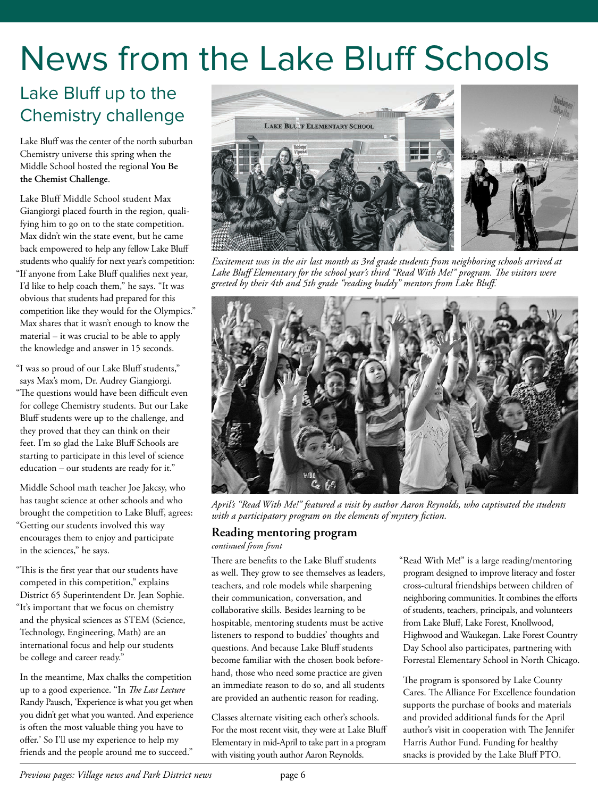## News from the Lake Bluff Schools

## Lake Bluff up to the Chemistry challenge

Lake Bluff was the center of the north suburban Chemistry universe this spring when the Middle School hosted the regional **You Be the Chemist Challenge**.

Lake Bluff Middle School student Max Giangiorgi placed fourth in the region, qualifying him to go on to the state competition. Max didn't win the state event, but he came back empowered to help any fellow Lake Bluff students who qualify for next year's competition: "If anyone from Lake Bluff qualifies next year, I'd like to help coach them," he says. "It was obvious that students had prepared for this competition like they would for the Olympics." Max shares that it wasn't enough to know the material – it was crucial to be able to apply the knowledge and answer in 15 seconds.

"I was so proud of our Lake Bluff students," says Max's mom, Dr. Audrey Giangiorgi. "The questions would have been difficult even for college Chemistry students. But our Lake Bluff students were up to the challenge, and they proved that they can think on their feet. I'm so glad the Lake Bluff Schools are starting to participate in this level of science education – our students are ready for it."

Middle School math teacher Joe Jakcsy, who has taught science at other schools and who brought the competition to Lake Bluff, agrees: "Getting our students involved this way encourages them to enjoy and participate in the sciences," he says.

"This is the first year that our students have competed in this competition," explains District 65 Superintendent Dr. Jean Sophie. "It's important that we focus on chemistry and the physical sciences as STEM (Science, Technology, Engineering, Math) are an international focus and help our students be college and career ready."

In the meantime, Max chalks the competition up to a good experience. "In *The Last Lecture* Randy Pausch, 'Experience is what you get when you didn't get what you wanted. And experience is often the most valuable thing you have to offer.' So I'll use my experience to help my friends and the people around me to succeed."



*Excitement was in the air last month as 3rd grade students from neighboring schools arrived at* Lake Bluff Elementary for the school year's third "Read With Me!" program. The visitors were *greeted by their 4th and 5th grade "reading buddy" mentors from Lake Bluff.*



*April's "Read With Me!" featured a visit by author Aaron Reynolds, who captivated the students with a participatory program on the elements of mystery fiction.*

#### **Reading mentoring program**

*continued from front*

There are benefits to the Lake Bluff students as well. They grow to see themselves as leaders, teachers, and role models while sharpening their communication, conversation, and collaborative skills. Besides learning to be hospitable, mentoring students must be active listeners to respond to buddies' thoughts and questions. And because Lake Bluff students become familiar with the chosen book beforehand, those who need some practice are given an immediate reason to do so, and all students are provided an authentic reason for reading.

Classes alternate visiting each other's schools. For the most recent visit, they were at Lake Bluff Elementary in mid-April to take part in a program with visiting youth author Aaron Reynolds.

"Read With Me!" is a large reading/mentoring program designed to improve literacy and foster cross-cultural friendships between children of neighboring communities. It combines the efforts of students, teachers, principals, and volunteers from Lake Bluff, Lake Forest, Knollwood, Highwood and Waukegan. Lake Forest Country Day School also participates, partnering with Forrestal Elementary School in North Chicago.

The program is sponsored by Lake County Cares. The Alliance For Excellence foundation supports the purchase of books and materials and provided additional funds for the April author's visit in cooperation with The Jennifer Harris Author Fund. Funding for healthy snacks is provided by the Lake Bluff PTO.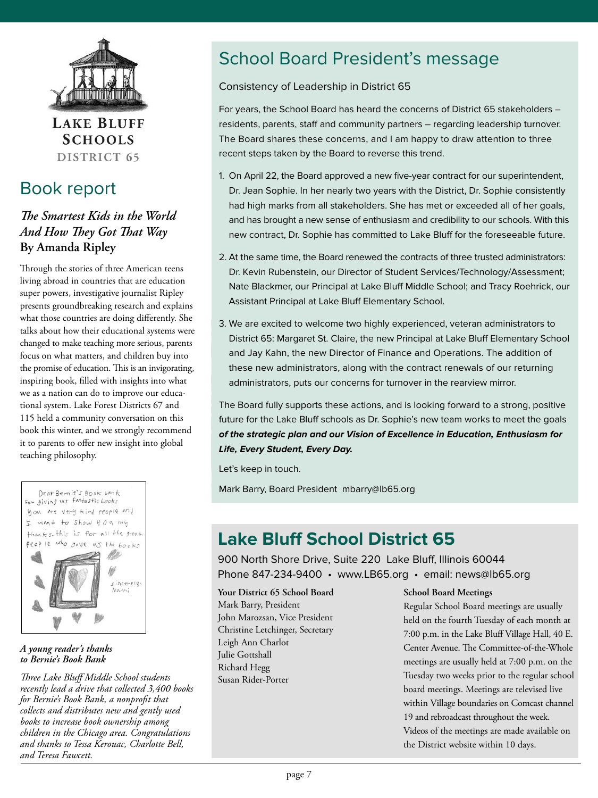

**LAKE BLUFF SCHOOLS** DISTRICT 65

### Book report

#### *e Smartest Kids in the World And How They Got That Way* **By Amanda Ripley**

Through the stories of three American teens living abroad in countries that are education super powers, investigative journalist Ripley presents groundbreaking research and explains what those countries are doing differently. She talks about how their educational systems were changed to make teaching more serious, parents focus on what matters, and children buy into the promise of education. This is an invigorating, inspiring book, filled with insights into what we as a nation can do to improve our educational system. Lake Forest Districts 67 and 115 held a community conversation on this book this winter, and we strongly recommend it to parents to offer new insight into global teaching philosophy.



#### *A young reader's thanks to Bernie's Book Bank*

**Three Lake Bluff Middle School students** *recently lead a drive that collected 3,400 books for Bernie's Book Bank, a nonprofit that collects and distributes new and gently used books to increase book ownership among children in the Chicago area. Congratulations and thanks to Tessa Kerouac, Charlotte Bell, and Teresa Fawcett.*

## School Board President's message

#### Consistency of Leadership in District 65

For years, the School Board has heard the concerns of District 65 stakeholders – residents, parents, staff and community partners – regarding leadership turnover. The Board shares these concerns, and I am happy to draw attention to three recent steps taken by the Board to reverse this trend.

- 1. On April 22, the Board approved a new five-year contract for our superintendent, Dr. Jean Sophie. In her nearly two years with the District, Dr. Sophie consistently had high marks from all stakeholders. She has met or exceeded all of her goals, and has brought a new sense of enthusiasm and credibility to our schools. With this new contract, Dr. Sophie has committed to Lake Bluff for the foreseeable future.
- 2. At the same time, the Board renewed the contracts of three trusted administrators: Dr. Kevin Rubenstein, our Director of Student Services/Technology/Assessment; Nate Blackmer, our Principal at Lake Bluff Middle School; and Tracy Roehrick, our Assistant Principal at Lake Bluff Elementary School.
- 3. We are excited to welcome two highly experienced, veteran administrators to District 65: Margaret St. Claire, the new Principal at Lake Bluff Elementary School and Jay Kahn, the new Director of Finance and Operations. The addition of these new administrators, along with the contract renewals of our returning administrators, puts our concerns for turnover in the rearview mirror.

The Board fully supports these actions, and is looking forward to a strong, positive future for the Lake Bluff schools as Dr. Sophie's new team works to meet the goals **of the strategic plan and our Vision of Excellence in Education, Enthusiasm for Life, Every Student, Every Day.**

Let's keep in touch.

Mark Barry, Board President mbarry@lb65.org

## **Lake Bluff School District 65**

900 North Shore Drive, Suite 220 Lake Bluff, Illinois 60044 Phone 847-234-9400 • www.LB65.org • email: news@lb65.org

**Your District 65 School Board** Mark Barry, President John Marozsan, Vice President Christine Letchinger, Secretary Leigh Ann Charlot Julie Gottshall Richard Hegg Susan Rider-Porter

#### **School Board Meetings**

Regular School Board meetings are usually held on the fourth Tuesday of each month at 7:00 p.m. in the Lake Bluff Village Hall, 40 E. Center Avenue. The Committee-of-the-Whole meetings are usually held at 7:00 p.m. on the Tuesday two weeks prior to the regular school board meetings. Meetings are televised live within Village boundaries on Comcast channel 19 and rebroadcast throughout the week. Videos of the meetings are made available on the District website within 10 days.